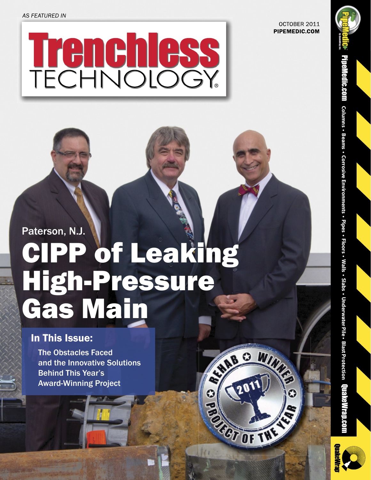*AS FEATURED IN*

OCTOBER 2011 PIPEMEDIC.COM

**C olumns • Beams • C orrosive**

Pipe Medic.com

**Environments**

**• Pipes • Flo**

**ors • Walls • Slabs •**

**Underwater**

**Pile • Blast**

**Protection**

# Paterson, N.J. CIPP of Leaking High-Pressure Gas Main

Trenchless

#### In This Issue:

The Obstacles Faced and the Innovative Solutions Behind This Year's Award-Winning Project

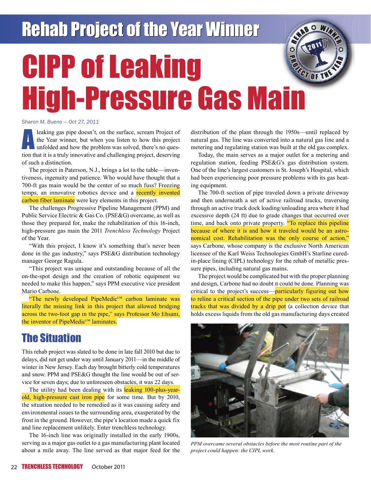## **Rehab Project of the Year Winner**

### Ó CIPP of Leaking CT OF TH High-Pressure Gas Main

#### *Sharon M. Bueno — Oct 27, 2011*

leaking gas pipe doesn't, on the surface, scream Project of<br>the Year winner, but when you listen to how this project<br>unfolded and how the problem was solved, there's no ques-<br>tion that it is a truly imposable and oballongi the Year winner, but when you listen to how this project unfolded and how the problem was solved, there's no question that it is a truly innovative and challenging project, deserving of such a distinction.

The project in Paterson, N.J., brings a lot to the table—inventiveness, ingenuity and patience. Who would have thought that a 700-ft gas main would be the center of so much fuss? Freezing temps, an innovative robotics device and a recently invented carbon fiber laminate were key elements in this project.

The challenges Progressive Pipeline Management (PPM) and Public Service Electric & Gas Co. (PSE&G) overcame, as well as those they prepared for, make the rehabilitation of this 16-inch, high-pressure gas main the 2011 *Trenchless Technology* Project of the Year.

"With this project, I know it's something that's never been done in the gas industry," says PSE&G distribution technology manager George Ragula.

"This project was unique and outstanding because of all the on-the-spot design and the creation of robotic equipment we needed to make this happen," says PPM executive vice president Mario Carbone.

"The newly developed PipeMedic<sup>TM</sup> carbon laminate was literally the missing link in this project that allowed bridging across the two-foot gap in the pipe," says Professor Mo Ehsani, the inventor of PipeMedic<sup>™</sup> laminates.

#### The Situation

This rehab project was slated to be done in late fall 2010 but due to delays, did not get under way until January 2011—in the middle of winter in New Jersey. Each day brought bitterly cold temperatures and snow. PPM and PSE&G thought the line would be out of service for seven days; due to unforeseen obstacles, it was 22 days.

The utility had been dealing with its leaking 100-plus-yearold, high-pressure cast iron pipe for some time. But by 2010, the situation needed to be remedied as it was causing safety and environmental issues to the surrounding area, exasperated by the frost in the ground. However, the pipe's location made a quick fix and line replacement unlikely. Enter trenchless technology.

The 16-inch line was originally installed in the early 1900s, serving as a major gas outlet to a gas manufacturing plant located about a mile away. The line served as that major feed for the distribution of the plant through the 1950s—until replaced by natural gas. The line was converted into a natural gas line and a metering and regulating station was built at the old gas complex.

Today, the main serves as a major outlet for a metering and regulation station, feeding PSE&G's gas distribution system. One of the line's largest customers is St. Joseph's Hospital, which had been experiencing poor pressure problems with its gas heating equipment.

The 700-ft section of pipe traveled down a private driveway and then underneath a set of active railroad tracks, traversing through an active truck dock loading/unloading area where it had excessive depth (24 ft) due to grade changes that occurred over time, and back onto private property. "To replace this pipeline because of where it is and how it traveled would be an astronomical cost. Rehabilitation was the only course of action," says Carbone, whose company is the exclusive North American licensee of the Karl Weiss Technologies GmbH's Starline curedin-place lining (CIPL) technology for the rehab of metallic pressure pipes, including natural gas mains.

The project would be complicated but with the proper planning and design, Carbone had no doubt it could be done. Planning was critical to the project's success—particularly figuring out how to reline a critical section of the pipe under two sets of railroad tracks that was divided by a drip pot (a collection device that holds excess liquids from the old gas manufacturing days created



*PPM overcame several obstacles before the most routine part of the project could happen: the CIPL work.*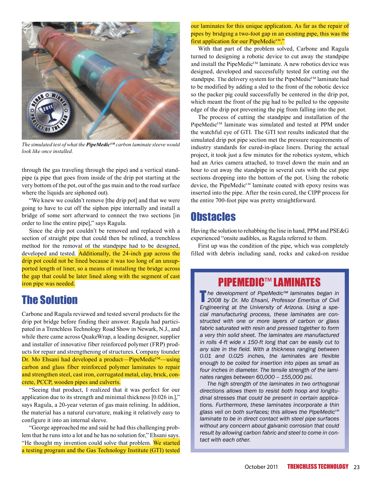

*The simulated test of what the PipeMedicTM carbon laminate sleeve would look like once installed.*

through the gas traveling through the pipe) and a vertical standpipe (a pipe that goes from inside of the drip pot starting at the very bottom of the pot, out of the gas main and to the road surface where the liquids are siphoned out).

"We knew we couldn't remove [the drip pot] and that we were going to have to cut off the siphon pipe internally and install a bridge of some sort afterward to connect the two sections [in order to line the entire pipe]," says Ragula.

Since the drip pot couldn't be removed and replaced with a section of straight pipe that could then be relined, a trenchless method for the removal of the standpipe had to be designed, developed and tested. Additionally, the 24-inch gap across the drip pot could not be lined because it was too long of an unsupported length of liner, so a means of installing the bridge across the gap that could be later lined along with the segment of cast iron pipe was needed.

#### The Solution

Carbone and Ragula reviewed and tested several products for the drip pot bridge before finding their answer. Ragula had participated in a Trenchless Technology Road Show in Newark, N.J., and while there came across QuakeWrap, a leading designer, supplier and installer of innovative fiber reinforced polymer (FRP) products for repair and strengthening of structures. Company founder Dr. Mo Ehsani had developed a product—PipeMedic<sup>™</sup>—using carbon and glass fiber reinforced polymer laminates to repair and strengthen steel, cast iron, corrugated metal, clay, brick, concrete, PCCP, wooden pipes and culverts.

"Seeing that product, I realized that it was perfect for our application due to its strength and minimal thickness [0.026 in.]," says Ragula, a 20-year veteran of gas main relining. In addition, the material has a natural curvature, making it relatively easy to configure it into an internal sleeve.

"George approached me and said he had this challenging problem that he runs into a lot and he has no solution for," Ehsani says. "He thought my invention could solve that problem. We started a testing program and the Gas Technology Institute (GTI) tested our laminates for this unique application. As far as the repair of pipes by bridging a two-foot gap in an existing pipe, this was the first application for our PipeMedic<sup>TM</sup>."

With that part of the problem solved, Carbone and Ragula turned to designing a robotic device to cut away the standpipe and install the PipeMedic<sup>™</sup> laminate. A new robotics device was designed, developed and successfully tested for cutting out the standpipe. The delivery system for the PipeMedic<sup>™</sup> laminate had to be modified by adding a sled to the front of the robotic device so the packer pig could successfully be centered in the drip pot, which meant the front of the pig had to be pulled to the opposite edge of the drip pot preventing the pig from falling into the pot.

The process of cutting the standpipe and installation of the PipeMedic<sup>™</sup> laminate was simulated and tested at PPM under the watchful eye of GTI. The GTI test results indicated that the simulated drip pot pipe section met the pressure requirements of industry standards for cured-in-place liners. During the actual project, it took just a few minutes for the robotics system, which had an Aries camera attached, to travel down the main and an hour to cut away the standpipe in several cuts with the cut pipe sections dropping into the bottom of the pot. Using the robotic device, the PipeMedic<sup>™</sup> laminate coated with epoxy resins was inserted into the pipe. After the resin cured, the CIPP process for the entire 700-foot pipe was pretty straightforward.

#### **Obstacles**

Having the solution to rehabbing the line in hand, PPM and PSE&G experienced "onsite audibles, as Ragula referred to them.

First up was the condition of the pipe, which was completely filled with debris including sand, rocks and caked-on residue

#### **PIPEMEDIC™ LAMINATES**

T*he development of PipeMedic™ laminates began in 2008 by Dr. Mo Ehsani, Professor Emeritus of Civil Engineering at the University of Arizona. Using a special manufacturing process, these laminates are constructed with one or more layers of carbon or glass fabric saturated with resin and pressed together to form a very thin solid sheet. The laminates are manufactured in rolls 4-ft wide x 150-ft long that can be easily cut to any size in the field. With a thickness ranging between 0.01 and 0.025 inches, the laminates are flexible enough to be coiled for insertion into pipes as small as four inches in diameter. The tensile strength of the laminates ranges between 60,000 – 155,000 psi.* 

*The high strength of the laminates in two orthogonal directions allows them to resist both hoop and longitudinal stresses that could be present in certain applications. Furthermore, these laminates incorporate a thin*  glass veil on both surfaces; this allows the PipeMedic<sup>™</sup> *laminate to be in direct contact with steel pipe surfaces without any concern about galvanic corrosion that could result by allowing carbon fabric and steel to come in contact with each other.*